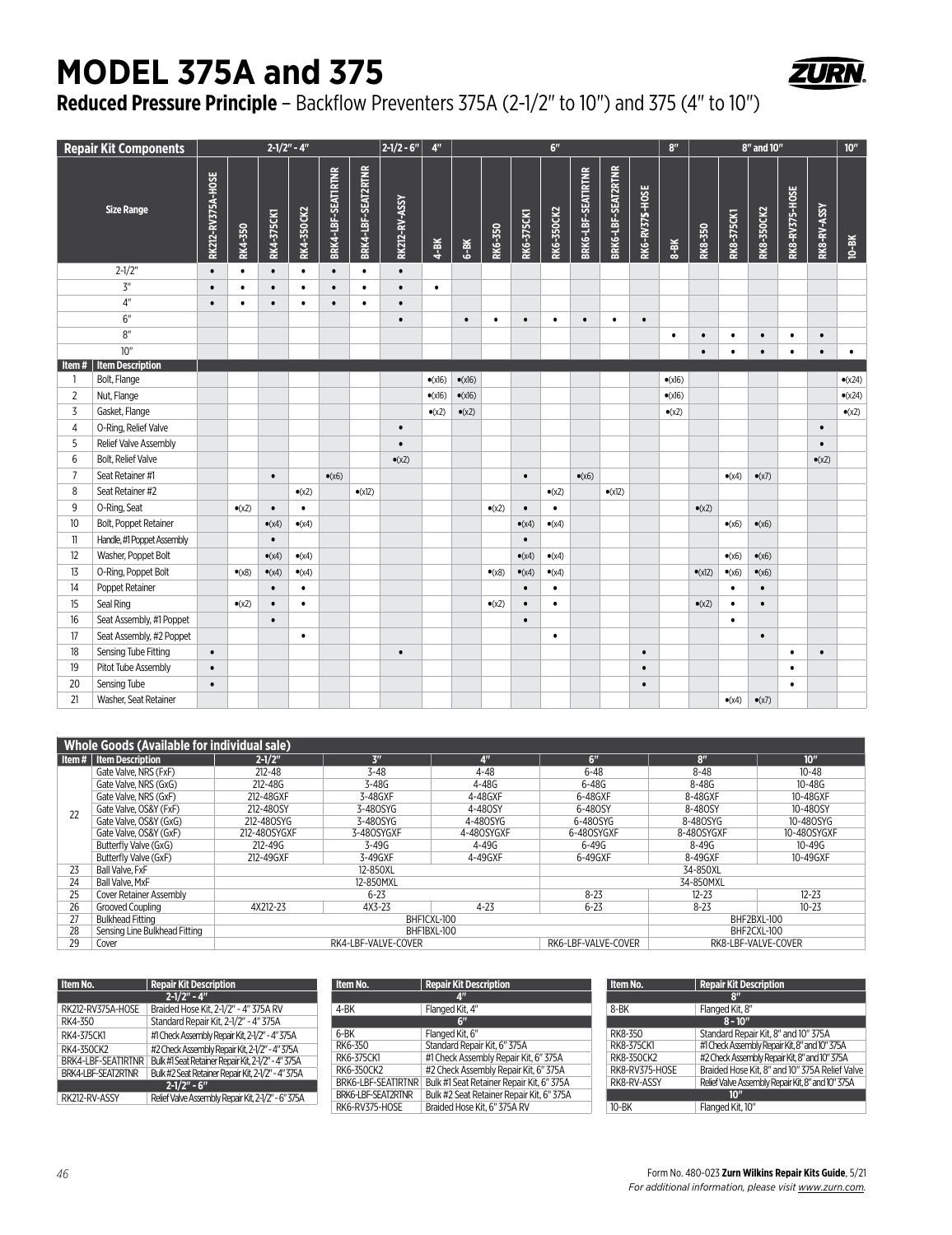## **MODEL 375A and 375**



## **Reduced Pressure Principle** – Backflow Preventers 375A (2-1/2" to 10") and 375 (4" to 10")

|                   | <b>Repair Kit Components</b> | $2 - 1/2" - 4"$   |                |                |                   | $2 - 1/2 - 6$ "    | 4 <sup>n</sup>     | $6^{\prime\prime}$ |                 |                 |                |                | 8 <sup>n</sup> | 8" and 10"         |                    |                       | 10 <sup>''</sup> |                 |                   |                   |                       |                    |                 |
|-------------------|------------------------------|-------------------|----------------|----------------|-------------------|--------------------|--------------------|--------------------|-----------------|-----------------|----------------|----------------|----------------|--------------------|--------------------|-----------------------|------------------|-----------------|-------------------|-------------------|-----------------------|--------------------|-----------------|
| <b>Size Range</b> |                              | RK212-RV375A-HOSE | RK4-350        | RK4-375CK1     | <b>RK4-350CK2</b> | BRK4-LBF-SEATIRTNR | BRK4-LBF-SEAT2RTNR | RK212-RV-ASSY      | $4 - BK$        | $6-8K$          | RK6-350        | RK6-375CK1     | RK6-350CK2     | BRK6-LBF-SEATIRTNR | BRK6-LBF-SEAT2RTNR | <b>RK6-RV375-HOSE</b> | $8-8K$           | RK8-350         | <b>RK8-375CK1</b> | <b>RK8-350CK2</b> | <b>RK8-RV375-HOSE</b> | <b>RK8-RV-ASSY</b> | $10-8K$         |
|                   | $2 - 1/2"$                   | $\bullet$         | $\bullet$      | $\bullet$      | $\bullet$         | $\bullet$          | $\bullet$          | $\bullet$          |                 |                 |                |                |                |                    |                    |                       |                  |                 |                   |                   |                       |                    |                 |
|                   | $\mathsf{Z}''$               | $\bullet$         | $\bullet$      | $\bullet$      | $\bullet$         | $\bullet$          | $\bullet$          | $\bullet$          | $\bullet$       |                 |                |                |                |                    |                    |                       |                  |                 |                   |                   |                       |                    |                 |
|                   | 4 <sup>n</sup>               | $\bullet$         | $\bullet$      | $\bullet$      | $\bullet$         | $\bullet$          | $\bullet$          | $\bullet$          |                 |                 |                |                |                |                    |                    |                       |                  |                 |                   |                   |                       |                    |                 |
|                   | 6"                           |                   |                |                |                   |                    |                    | $\bullet$          |                 | $\bullet$       | $\bullet$      | $\bullet$      | $\bullet$      | $\bullet$          | $\bullet$          | $\bullet$             |                  |                 |                   |                   |                       |                    |                 |
|                   | 8"                           |                   |                |                |                   |                    |                    |                    |                 |                 |                |                |                |                    |                    |                       | $\bullet$        | $\bullet$       | $\bullet$         | $\bullet$         | $\bullet$             | $\bullet$          |                 |
|                   | 10"                          |                   |                |                |                   |                    |                    |                    |                 |                 |                |                |                |                    |                    |                       |                  | $\bullet$       | $\bullet$         | $\bullet$         | $\bullet$             | $\bullet$          | $\bullet$       |
| Item#             | <b>Item Description</b>      |                   |                |                |                   |                    |                    |                    |                 |                 |                |                |                |                    |                    |                       |                  |                 |                   |                   |                       |                    |                 |
| -1                | Bolt, Flange                 |                   |                |                |                   |                    |                    |                    | $\bullet$ (x16) | $\bullet$ (x16) |                |                |                |                    |                    |                       | $\bullet$ (x16)  |                 |                   |                   |                       |                    | $\bullet$ (x24) |
| $\overline{2}$    | Nut, Flange                  |                   |                |                |                   |                    |                    |                    | $\bullet$ (x16) | $\bullet$ (x16) |                |                |                |                    |                    |                       | $\bullet$ (x16)  |                 |                   |                   |                       |                    | $\bullet$ (x24) |
| $\overline{3}$    | Gasket, Flange               |                   |                |                |                   |                    |                    |                    | $\bullet$ (x2)  | $\bullet$ (x2)  |                |                |                |                    |                    |                       | $\bullet$ (x2)   |                 |                   |                   |                       |                    | $\bullet$ (x2)  |
| $\overline{4}$    | O-Ring, Relief Valve         |                   |                |                |                   |                    |                    | $\bullet$          |                 |                 |                |                |                |                    |                    |                       |                  |                 |                   |                   |                       | $\bullet$          |                 |
| 5                 | Relief Valve Assembly        |                   |                |                |                   |                    |                    | $\bullet$          |                 |                 |                |                |                |                    |                    |                       |                  |                 |                   |                   |                       | $\bullet$          |                 |
| 6                 | Bolt, Relief Valve           |                   |                |                |                   |                    |                    | $\bullet$ (x2)     |                 |                 |                |                |                |                    |                    |                       |                  |                 |                   |                   |                       | $\bullet$ (x2)     |                 |
| 7                 | Seat Retainer #1             |                   |                | $\bullet$      |                   | $\bullet$ (x6)     |                    |                    |                 |                 |                | $\bullet$      |                | $\bullet$ (x6)     |                    |                       |                  |                 | $\bullet$ (x4)    | $\bullet$ (x7)    |                       |                    |                 |
| 8                 | Seat Retainer #2             |                   |                |                | $\bullet$ (x2)    |                    | $\bullet$ (x12)    |                    |                 |                 |                |                | $\bullet$ (x2) |                    | $\bullet$ (x12)    |                       |                  |                 |                   |                   |                       |                    |                 |
| 9                 | O-Ring, Seat                 |                   | $\bullet$ (x2) | $\bullet$      | $\bullet$         |                    |                    |                    |                 |                 | $\bullet$ (x2) | $\bullet$      | $\bullet$      |                    |                    |                       |                  | $\bullet$ (x2)  |                   |                   |                       |                    |                 |
| 10                | Bolt, Poppet Retainer        |                   |                | $\bullet$ (x4) | $\bullet$ (x4)    |                    |                    |                    |                 |                 |                | $\bullet$ (x4) | $\bullet$ (x4) |                    |                    |                       |                  |                 | $\bullet$ (x6)    | $\bullet$ (x6)    |                       |                    |                 |
| 11                | Handle, #1 Poppet Assembly   |                   |                | $\bullet$      |                   |                    |                    |                    |                 |                 |                | $\bullet$      |                |                    |                    |                       |                  |                 |                   |                   |                       |                    |                 |
| 12                | Washer, Poppet Bolt          |                   |                | $\bullet$ (x4) | $\bullet$ (x4)    |                    |                    |                    |                 |                 |                | $\bullet$ (x4) | $\bullet$ (x4) |                    |                    |                       |                  |                 | $\bullet$ (x6)    | $\bullet$ (x6)    |                       |                    |                 |
| 13                | O-Ring, Poppet Bolt          |                   | $\bullet$ (x8) | $\bullet$ (x4) | $\bullet$ (x4)    |                    |                    |                    |                 |                 | $\bullet$ (x8) | $\bullet$ (x4) | $\bullet$ (x4) |                    |                    |                       |                  | $\bullet$ (x12) | $\bullet$ (x6)    | $\bullet$ (x6)    |                       |                    |                 |
| 14                | Poppet Retainer              |                   |                | $\bullet$      | $\bullet$         |                    |                    |                    |                 |                 |                | $\bullet$      | $\bullet$      |                    |                    |                       |                  |                 | $\bullet$         | $\bullet$         |                       |                    |                 |
| 15                | Seal Ring                    |                   | $\bullet$ (x2) | $\bullet$      | $\bullet$         |                    |                    |                    |                 |                 | $\bullet$ (x2) | $\bullet$      | $\bullet$      |                    |                    |                       |                  | $\bullet$ (x2)  | $\bullet$         | $\bullet$         |                       |                    |                 |
| 16                | Seat Assembly, #1 Poppet     |                   |                | $\bullet$      |                   |                    |                    |                    |                 |                 |                | $\bullet$      |                |                    |                    |                       |                  |                 | $\bullet$         |                   |                       |                    |                 |
| 17                | Seat Assembly, #2 Poppet     |                   |                |                | $\bullet$         |                    |                    |                    |                 |                 |                |                | $\bullet$      |                    |                    |                       |                  |                 |                   | $\bullet$         |                       |                    |                 |
| 18                | Sensing Tube Fitting         | $\bullet$         |                |                |                   |                    |                    | $\bullet$          |                 |                 |                |                |                |                    |                    | $\bullet$             |                  |                 |                   |                   | $\bullet$             | $\bullet$          |                 |
| 19                | Pitot Tube Assembly          | $\bullet$         |                |                |                   |                    |                    |                    |                 |                 |                |                |                |                    |                    | $\bullet$             |                  |                 |                   |                   | $\bullet$             |                    |                 |
| 20                | Sensing Tube                 | $\bullet$         |                |                |                   |                    |                    |                    |                 |                 |                |                |                |                    |                    | $\bullet$             |                  |                 |                   |                   | $\bullet$             |                    |                 |
| 21                | Washer, Seat Retainer        |                   |                |                |                   |                    |                    |                    |                 |                 |                |                |                |                    |                    |                       |                  |                 | $\bullet$ (x4)    | $\bullet$ (x7)    |                       |                    |                 |

| <b>Whole Goods (Available for individual sale)</b> |                                |              |                     |                     |                     |                |                  |  |  |  |  |
|----------------------------------------------------|--------------------------------|--------------|---------------------|---------------------|---------------------|----------------|------------------|--|--|--|--|
|                                                    | l Item #   Item Description    | $2 - 1/2$ "  | 3 <sup>n</sup>      | 4 <sup>n</sup>      | 6"                  | 8 <sup>n</sup> | 10 <sup>''</sup> |  |  |  |  |
|                                                    | Gate Valve, NRS (FxF)          | $212 - 48$   | $3 - 48$            | $4 - 48$            | $6 - 48$            | 8-48           | $10 - 48$        |  |  |  |  |
|                                                    | Gate Valve, NRS (GxG)          | $212 - 48G$  | $3-48G$             | 4-48G               | $6 - 48G$           | 8-48G          | 10-48G           |  |  |  |  |
|                                                    | Gate Valve, NRS (GxF)          | 212-48GXF    | 3-48GXF             | 4-48GXF             | 6-48GXF             | 8-48GXF        | 10-48GXF         |  |  |  |  |
| 22                                                 | Gate Valve, OS&Y (FxF)         | 212-480SY    | 3-480SYG            | 4-480SY             | 6-480SY             | 8-480SY        | 10-480SY         |  |  |  |  |
|                                                    | Gate Valve, OS&Y (GxG)         | 212-480SYG   | 3-480SYG            | 4-480SYG            | 6-480SYG            | 8-480SYG       | 10-480SYG        |  |  |  |  |
|                                                    | Gate Valve, OS&Y (GxF)         | 212-480SYGXF | 3-480SYGXF          | 4-480SYGXF          | 6-480SYGXF          | 8-480SYGXF     | 10-480SYGXF      |  |  |  |  |
|                                                    | Butterfly Valve (GxG)          | 212-49G      | $3 - 49G$           | $4 - 49G$           | $6 - 49G$           | $8 - 49G$      | 10-49G           |  |  |  |  |
|                                                    | Butterfly Valve (GxF)          | 212-49GXF    | 3-49GXF             | 4-49GXF             | $6-49$ GXF          | 8-49GXF        | 10-49GXF         |  |  |  |  |
| 23                                                 | Ball Valve, FxF                |              | 12-850XL            |                     |                     | 34-850XL       |                  |  |  |  |  |
| 24                                                 | Ball Valve, MxF                |              | 12-850MXL           | 34-850MXL           |                     |                |                  |  |  |  |  |
| 25                                                 | <b>Cover Retainer Assembly</b> |              | $6 - 23$            |                     | $8 - 23$            | $12 - 23$      | $12 - 23$        |  |  |  |  |
| 26                                                 | Grooved Coupling               | 4X212-23     | 4X3-23              | $4 - 23$            | $6 - 23$            | $8 - 23$       | $10 - 23$        |  |  |  |  |
| 27                                                 | <b>Bulkhead Fitting</b>        |              | BHF1CXL-100         |                     | BHF2BXL-100         |                |                  |  |  |  |  |
| 28                                                 | Sensing Line Bulkhead Fitting  |              | BHF1BXL-100         | BHF2CXL-100         |                     |                |                  |  |  |  |  |
| 29                                                 | Cover                          |              | RK4-LBF-VALVE-COVER | RK6-LBF-VALVE-COVER | RK8-LBF-VALVE-COVER |                |                  |  |  |  |  |

| Item No.           | <b>Repair Kit Description</b>                      | Item No.           | Repair Kit Description                                       | Item No.       | Repair Kit Description                            |  |  |
|--------------------|----------------------------------------------------|--------------------|--------------------------------------------------------------|----------------|---------------------------------------------------|--|--|
|                    | $2 - 1/2" - 4"$                                    |                    |                                                              |                |                                                   |  |  |
| RK212-RV375A-HOSE  | Braided Hose Kit. 2-1/2" - 4" 375A RV              | 4-BK               | Flanged Kit. 4"                                              | 8-BK           | Flanged Kit. 8"                                   |  |  |
| RK4-350            | Standard Repair Kit, 2-1/2" - 4" 375A              |                    | 6″                                                           |                | $8 - 10''$                                        |  |  |
| RK4-375CK1         | #1 Check Assembly Repair Kit. 2-1/2" - 4" 375A     | 6-BK               | Flanged Kit. 6"                                              | RK8-350        | Standard Repair Kit. 8" and 10" 375A              |  |  |
| RK4-350CK2         | #2 Check Assembly Repair Kit. 2-1/2" - 4" 375A     | RK6-350            | Standard Repair Kit. 6" 375A                                 | RK8-375CK1     | #1 Check Assembly Repair Kit, 8" and 10" 375A     |  |  |
| BRK4-LBF-SEAT1RTNR | Bulk #1 Seat Retainer Repair Kit. 2-1/2" - 4" 375A | RK6-375CK1         | #1 Check Assembly Repair Kit. 6" 375A                        | RK8-350CK2     | #2 Check Assembly Repair Kit, 8" and 10" 375A     |  |  |
| BRK4-LBF-SEAT2RTNR | Bulk #2 Seat Retainer Repair Kit, 2-1/2" - 4" 375A | RK6-350CK2         | #2 Check Assembly Repair Kit, 6" 375A                        | RK8-RV375-HOSE | Braided Hose Kit. 8" and 10" 375A Relief Valve    |  |  |
|                    | $2 - 1/2" - 6"$                                    |                    | BRK6-LBF-SEAT1RTNR Bulk #1 Seat Retainer Repair Kit. 6" 375A | RK8-RV-ASSY    | Relief Valve Assembly Repair Kit. 8" and 10" 375A |  |  |
| RK212-RV-ASSY      | Relief Valve Assembly Repair Kit, 2-1/2" - 6" 375A | BRK6-LBF-SEAT2RTNR | Bulk #2 Seat Retainer Repair Kit, 6" 375A                    |                |                                                   |  |  |
|                    |                                                    | RK6-RV375-HOSE     | Braided Hose Kit. 6" 375A RV                                 | 10-BK          | Flanged Kit. 10"                                  |  |  |